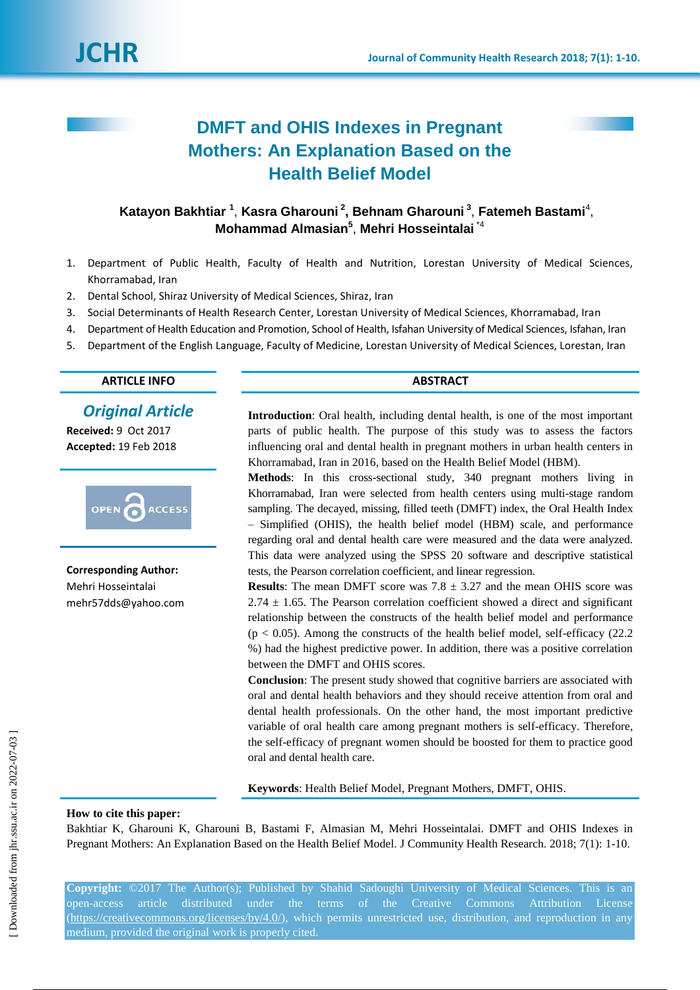

# **DMFT and OHIS Indexes in Pregnant Mothers: An Explanation Based on the Health Belief Model**

# **Katayon Bakhtiar <sup>1</sup>** , **Kasra Gharouni <sup>2</sup> , Behnam Gharouni <sup>3</sup>** , **Fatemeh Bastami**<sup>4</sup> , **Mohammad Almasian<sup>5</sup>** , **Mehri Hosseintalai** \*4

- 1. Department of Public Health, Faculty of Health and Nutrition, Lorestan University of Medical Sciences, Khorramabad, Iran
- 2. Dental School, Shiraz University of Medical Sciences, Shiraz, Iran
- 3. Social Determinants of Health Research Center, Lorestan University of Medical Sciences, Khorramabad, Iran
- 4. Department of Health Education and Promotion, School of Health, Isfahan University of Medical Sciences, Isfahan, Iran
- 5. Department of the English Language, Faculty of Medicine, Lorestan University of Medical Sciences, Lorestan, Iran

# **ARTICLE INFO ABSTRACT**

# *Original Article*

**Received:** 9 Oct 2017 **Accepted:** 19 Feb 2018



**Corresponding Author:** Mehri Hosseintalai [mehr57dds@yahoo.com](mailto:mehr57dds@yahoo.com)

**Introduction**: Oral health, including dental health, is one of the most important parts of public health. The purpose of this study was to assess the factors influencing oral and dental health in pregnant mothers in urban health centers in Khorramabad, Iran in 2016, based on the Health Belief Model (HBM).

**Methods**: In this cross-sectional study, 340 pregnant mothers living in Khorramabad, Iran were selected from health centers using multi-stage random sampling. The decayed, missing, filled teeth (DMFT) index, the Oral Health Index – Simplified (OHIS), the health belief model (HBM) scale, and performance regarding oral and dental health care were measured and the data were analyzed. This data were analyzed using the SPSS 20 software and descriptive statistical tests, the Pearson correlation coefficient, and linear regression.

**Results**: The mean DMFT score was  $7.8 \pm 3.27$  and the mean OHIS score was  $2.74 \pm 1.65$ . The Pearson correlation coefficient showed a direct and significant relationship between the constructs of the health belief model and performance  $(p < 0.05)$ . Among the constructs of the health belief model, self-efficacy  $(22.2)$ %) had the highest predictive power. In addition, there was a positive correlation between the DMFT and OHIS scores.

**Conclusion**: The present study showed that cognitive barriers are associated with oral and dental health behaviors and they should receive attention from oral and dental health professionals. On the other hand, the most important predictive variable of oral health care among pregnant mothers is self-efficacy. Therefore, the self-efficacy of pregnant women should be boosted for them to practice good oral and dental health care.

**Keywords**: Health Belief Model, Pregnant Mothers, DMFT, OHIS.

#### **How to cite this paper:**

Bakhtiar K, Gharouni K, Gharouni B, Bastami F, Almasian M, Mehri Hosseintalai. DMFT and OHIS Indexes in Pregnant Mothers: An Explanation Based on the Health Belief Model. J Community Health Research. 2018; 7(1): 1-10.

**Copyright:** ©2017 The Author(s); Published by Shahid Sadoughi University of Medical Sciences. This is an [\(https://creativecommons.org/licenses/by/4.0/\)](https://creativecommons.org/licenses/by/4.0/), which permits unrestricted use, distribution, and reproduction in any medium, provided the original work is properly cited.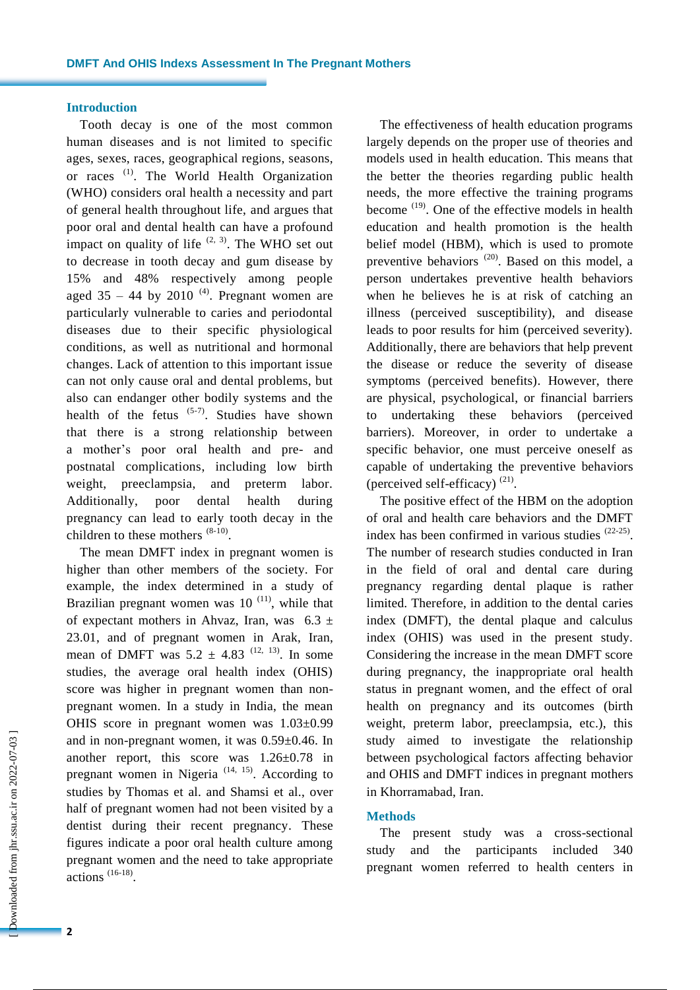### **Introduction**

Tooth decay is one of the most common human diseases and is not limited to specific ages, sexes, races, geographical regions, seasons, or races<sup>(1)</sup>. The World Health Organization (WHO) considers oral health a necessity and part of general health throughout life, and argues that poor oral and dental health can have a profound impact on quality of life  $(2, 3)$ . The WHO set out to decrease in tooth decay and gum disease by 15% and 48% respectively among people aged  $35 - 44$  by  $2010^{(4)}$ . Pregnant women are particularly vulnerable to caries and periodontal diseases due to their specific physiological conditions, as well as nutritional and hormonal changes. Lack of attention to this important issue can not only cause oral and dental problems, but also can endanger other bodily systems and the health of the fetus  $(5-7)$ . Studies have shown that there is a strong relationship between a mother's poor oral health and pre- and postnatal complications, including low birth weight, preeclampsia, and preterm labor. Additionally, poor dental health during pregnancy can lead to early tooth decay in the children to these mothers  $(8-10)$ .

The mean DMFT index in pregnant women is higher than other members of the society. For example, the index determined in a study of Brazilian pregnant women was  $10^{(11)}$ , while that of expectant mothers in Ahvaz, Iran, was  $6.3 \pm$ 23.01, and of pregnant women in Arak, Iran, mean of DMFT was  $5.2 \pm 4.83$  <sup>(12, 13)</sup>. In some studies, the average oral health index (OHIS) score was higher in pregnant women than nonpregnant women. In a study in India, the mean OHIS score in pregnant women was 1.03±0.99 and in non-pregnant women, it was 0.59±0.46. In another report, this score was 1.26±0.78 in pregnant women in Nigeria<sup> $(14, 15)$ </sup>. According to studies by Thomas et al. and Shamsi et al., over half of pregnant women had not been visited by a dentist during their recent pregnancy. These figures indicate a poor oral health culture among pregnant women and the need to take appropriate actions (16-18) .

The effectiveness of health education programs largely depends on the proper use of theories and models used in health education. This means that the better the theories regarding public health needs, the more effective the training programs become <sup>(19)</sup>. One of the effective models in health education and health promotion is the health belief model (HBM), which is used to promote preventive behaviors <sup>(20)</sup>. Based on this model, a person undertakes preventive health behaviors when he believes he is at risk of catching an illness (perceived susceptibility), and disease leads to poor results for him (perceived severity). Additionally, there are behaviors that help prevent the disease or reduce the severity of disease symptoms (perceived benefits). However, there are physical, psychological, or financial barriers to undertaking these behaviors (perceived barriers). Moreover, in order to undertake a specific behavior, one must perceive oneself as capable of undertaking the preventive behaviors (perceived self-efficacy) $(21)$ .

The positive effect of the HBM on the adoption of oral and health care behaviors and the DMFT index has been confirmed in various studies  $(22-25)$ . The number of research studies conducted in Iran in the field of oral and dental care during pregnancy regarding dental plaque is rather limited. Therefore, in addition to the dental caries index (DMFT), the dental plaque and calculus index (OHIS) was used in the present study. Considering the increase in the mean DMFT score during pregnancy, the inappropriate oral health status in pregnant women, and the effect of oral health on pregnancy and its outcomes (birth weight, preterm labor, preeclampsia, etc.), this study aimed to investigate the relationship between psychological factors affecting behavior and OHIS and DMFT indices in pregnant mothers in Khorramabad, Iran.

# **Methods**

The present study was a cross-sectional study and the participants included 340 pregnant women referred to health centers in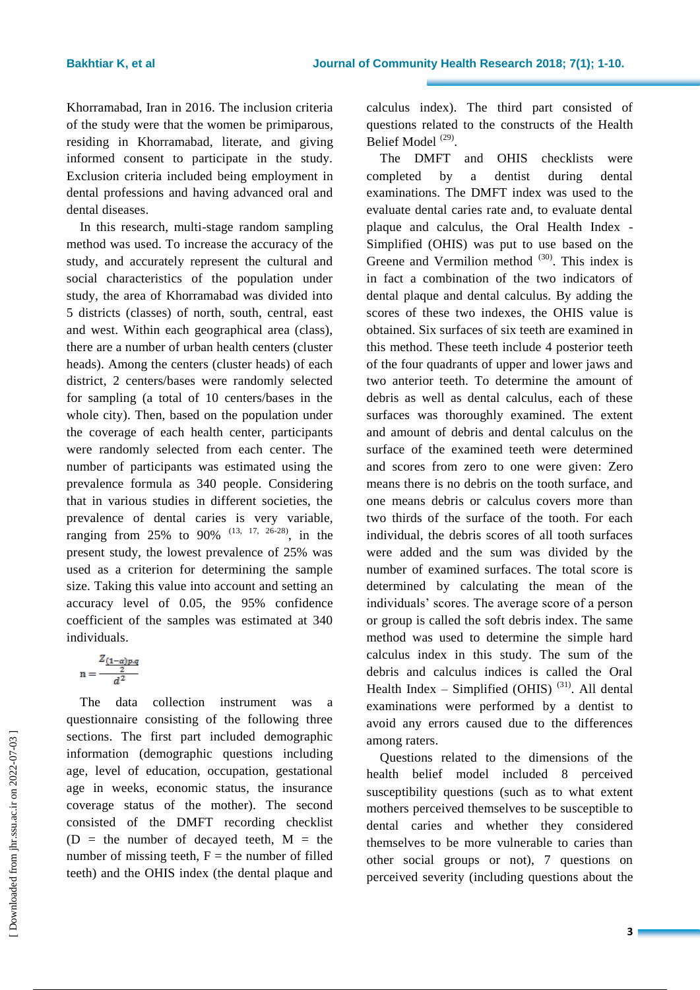Khorramabad, Iran in 2016. The inclusion criteria of the study were that the women be primiparous, residing in Khorramabad, literate, and giving informed consent to participate in the study. Exclusion criteria included being employment in dental professions and having advanced oral and dental diseases.

In this research, multi-stage random sampling method was used. To increase the accuracy of the study, and accurately represent the cultural and social characteristics of the population under study, the area of Khorramabad was divided into 5 districts (classes) of north, south, central, east and west. Within each geographical area (class), there are a number of urban health centers (cluster heads). Among the centers (cluster heads) of each district, 2 centers/bases were randomly selected for sampling (a total of 10 centers/bases in the whole city). Then, based on the population under the coverage of each health center, participants were randomly selected from each center. The number of participants was estimated using the prevalence formula as 340 people. Considering that in various studies in different societies, the prevalence of dental caries is very variable, ranging from 25% to 90%  $(13, 17, 26-28)$ , in the present study, the lowest prevalence of 25% was used as a criterion for determining the sample size. Taking this value into account and setting an accuracy level of 0.05, the 95% confidence coefficient of the samples was estimated at 340 individuals.

$$
n = \frac{Z_{\left(1-\alpha\right)p,q}}{d^2}
$$

The data collection instrument was a questionnaire consisting of the following three sections. The first part included demographic information (demographic questions including age, level of education, occupation, gestational age in weeks, economic status, the insurance coverage status of the mother). The second consisted of the DMFT recording checklist ( $D =$  the number of decayed teeth,  $M =$  the number of missing teeth,  $F =$  the number of filled teeth) and the OHIS index (the dental plaque and calculus index). The third part consisted of questions related to the constructs of the Health Belief Model<sup>(29)</sup>.

The DMFT and OHIS checklists were completed by a dentist during dental examinations. The DMFT index was used to the evaluate dental caries rate and, to evaluate dental plaque and calculus, the Oral Health Index - Simplified (OHIS) was put to use based on the Greene and Vermilion method  $(30)$ . This index is in fact a combination of the two indicators of dental plaque and dental calculus. By adding the scores of these two indexes, the OHIS value is obtained. Six surfaces of six teeth are examined in this method. These teeth include 4 posterior teeth of the four quadrants of upper and lower jaws and two anterior teeth. To determine the amount of debris as well as dental calculus, each of these surfaces was thoroughly examined. The extent and amount of debris and dental calculus on the surface of the examined teeth were determined and scores from zero to one were given: Zero means there is no debris on the tooth surface, and one means debris or calculus covers more than two thirds of the surface of the tooth. For each individual, the debris scores of all tooth surfaces were added and the sum was divided by the number of examined surfaces. The total score is determined by calculating the mean of the individuals' scores. The average score of a person or group is called the soft debris index. The same method was used to determine the simple hard calculus index in this study. The sum of the debris and calculus indices is called the Oral Health Index  $-$  Simplified (OHIS)<sup>(31)</sup>. All dental examinations were performed by a dentist to avoid any errors caused due to the differences among raters.

Questions related to the dimensions of the health belief model included 8 perceived susceptibility questions (such as to what extent mothers perceived themselves to be susceptible to dental caries and whether they considered themselves to be more vulnerable to caries than other social groups or not), 7 questions on perceived severity (including questions about the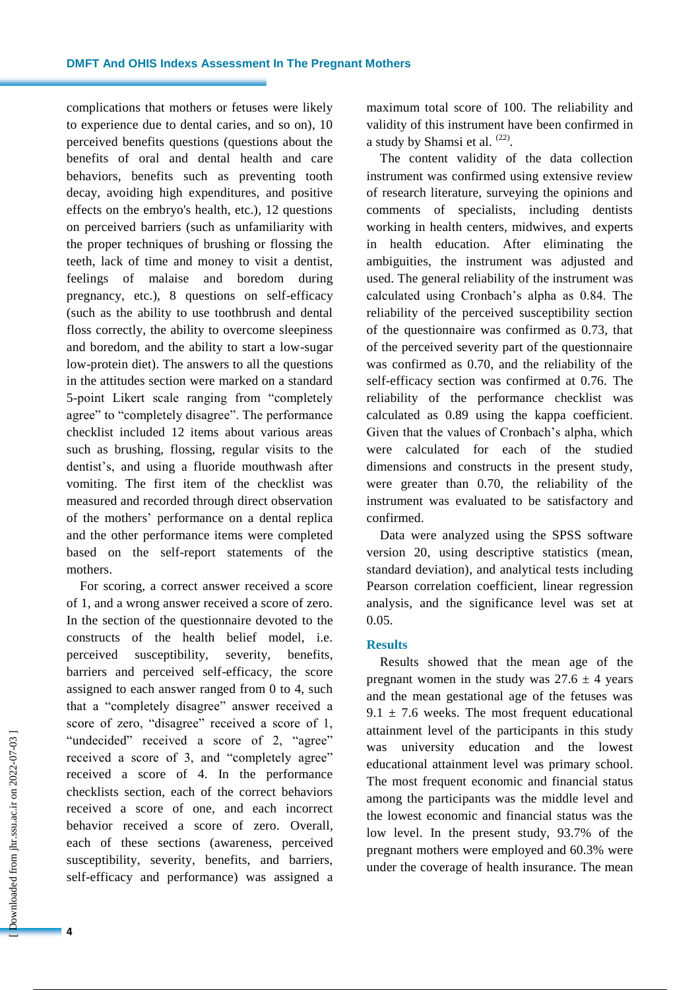complications that mothers or fetuses were likely to experience due to dental caries, and so on), 10 perceived benefits questions (questions about the benefits of oral and dental health and care behaviors, benefits such as preventing tooth decay, avoiding high expenditures, and positive effects on the embryo's health, etc.), 12 questions on perceived barriers (such as unfamiliarity with the proper techniques of brushing or flossing the teeth, lack of time and money to visit a dentist, feelings of malaise and boredom during pregnancy, etc.), 8 questions on self-efficacy (such as the ability to use toothbrush and dental floss correctly, the ability to overcome sleepiness and boredom, and the ability to start a low-sugar low-protein diet). The answers to all the questions in the attitudes section were marked on a standard 5-point Likert scale ranging from "completely agree" to "completely disagree". The performance checklist included 12 items about various areas such as brushing, flossing, regular visits to the dentist's, and using a fluoride mouthwash after vomiting. The first item of the checklist was measured and recorded through direct observation of the mothers' performance on a dental replica and the other performance items were completed based on the self-report statements of the mothers.

For scoring, a correct answer received a score of 1, and a wrong answer received a score of zero. In the section of the questionnaire devoted to the constructs of the health belief model, i.e. perceived susceptibility, severity, benefits, barriers and perceived self-efficacy, the score assigned to each answer ranged from 0 to 4, such that a "completely disagree" answer received a score of zero, "disagree" received a score of 1, "undecided" received a score of 2, "agree" received a score of 3, and "completely agree" received a score of 4. In the performance checklists section, each of the correct behaviors received a score of one, and each incorrect behavior received a score of zero. Overall, each of these sections (awareness, perceived susceptibility, severity, benefits, and barriers, self-efficacy and performance) was assigned a maximum total score of 100. The reliability and validity of this instrument have been confirmed in a study by Shamsi et al.  $(22)$ .

The content validity of the data collection instrument was confirmed using extensive review of research literature, surveying the opinions and comments of specialists, including dentists working in health centers, midwives, and experts in health education. After eliminating the ambiguities, the instrument was adjusted and used. The general reliability of the instrument was calculated using Cronbach's alpha as 0.84. The reliability of the perceived susceptibility section of the questionnaire was confirmed as 0.73, that of the perceived severity part of the questionnaire was confirmed as 0.70, and the reliability of the self-efficacy section was confirmed at 0.76. The reliability of the performance checklist was calculated as 0.89 using the kappa coefficient. Given that the values of Cronbach's alpha, which were calculated for each of the studied dimensions and constructs in the present study, were greater than 0.70, the reliability of the instrument was evaluated to be satisfactory and confirmed.

Data were analyzed using the SPSS software version 20, using descriptive statistics (mean, standard deviation), and analytical tests including Pearson correlation coefficient, linear regression analysis, and the significance level was set at 0.05.

# **Results**

Results showed that the mean age of the pregnant women in the study was  $27.6 \pm 4$  years and the mean gestational age of the fetuses was  $9.1 \pm 7.6$  weeks. The most frequent educational attainment level of the participants in this study was university education and the lowest educational attainment level was primary school. The most frequent economic and financial status among the participants was the middle level and the lowest economic and financial status was the low level. In the present study, 93.7% of the pregnant mothers were employed and 60.3% were under the coverage of health insurance. The mean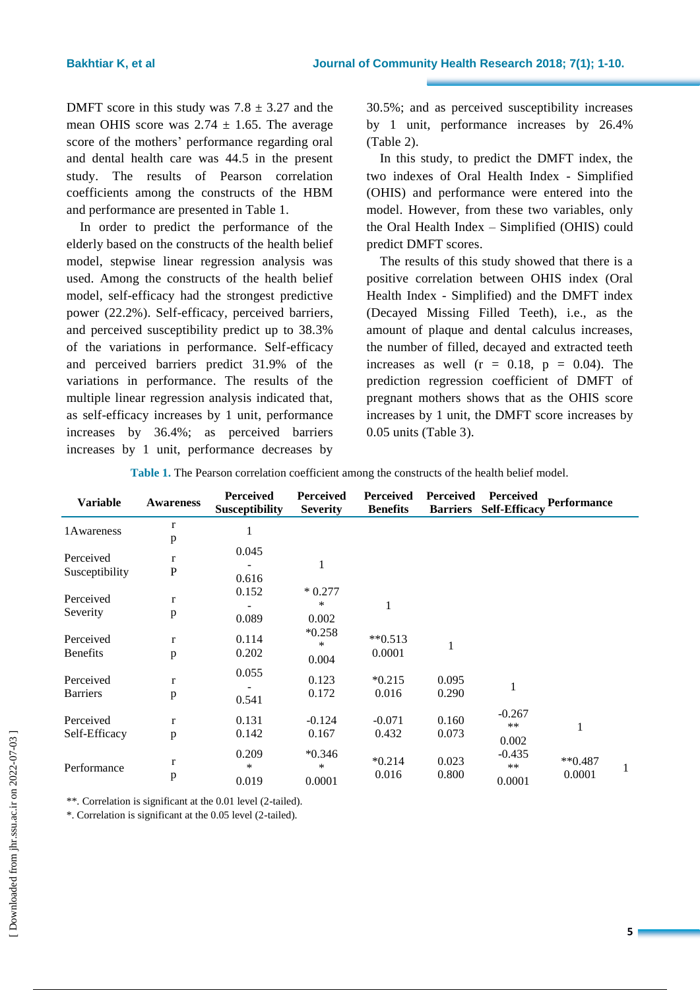DMFT score in this study was  $7.8 \pm 3.27$  and the mean OHIS score was  $2.74 \pm 1.65$ . The average score of the mothers' performance regarding oral and dental health care was 44.5 in the present study. The results of Pearson correlation coefficients among the constructs of the HBM and performance are presented in Table 1.

In order to predict the performance of the elderly based on the constructs of the health belief model, stepwise linear regression analysis was used. Among the constructs of the health belief model, self-efficacy had the strongest predictive power (22.2%). Self-efficacy, perceived barriers, and perceived susceptibility predict up to 38.3% of the variations in performance. Self-efficacy and perceived barriers predict 31.9% of the variations in performance. The results of the multiple linear regression analysis indicated that, as self-efficacy increases by 1 unit, performance increases by 36.4%; as perceived barriers increases by 1 unit, performance decreases by

30.5%; and as perceived susceptibility increases by 1 unit, performance increases by 26.4% (Table 2).

In this study, to predict the DMFT index, the two indexes of Oral Health Index - Simplified (OHIS) and performance were entered into the model. However, from these two variables, only the Oral Health Index – Simplified (OHIS) could predict DMFT scores.

The results of this study showed that there is a positive correlation between OHIS index (Oral Health Index - Simplified) and the DMFT index (Decayed Missing Filled Teeth), i.e., as the amount of plaque and dental calculus increases, the number of filled, decayed and extracted teeth increases as well  $(r = 0.18, p = 0.04)$ . The prediction regression coefficient of DMFT of pregnant mothers shows that as the OHIS score increases by 1 unit, the DMFT score increases by 0.05 units (Table 3).

| <b>Variable</b>              | <b>Awareness</b>             | <b>Perceived</b><br><b>Susceptibility</b> | <b>Perceived</b><br><b>Severity</b> | <b>Perceived</b><br><b>Benefits</b> | <b>Perceived</b><br><b>Barriers</b> | <b>Perceived</b><br><b>Self-Efficacy</b> | <b>Performance</b>     |   |
|------------------------------|------------------------------|-------------------------------------------|-------------------------------------|-------------------------------------|-------------------------------------|------------------------------------------|------------------------|---|
| 1 Awareness                  | $\bf r$<br>$\, {\bf p}$      | 1                                         |                                     |                                     |                                     |                                          |                        |   |
| Perceived<br>Susceptibility  | $\mathbf r$<br>${\bf P}$     | 0.045<br>0.616                            | 1                                   |                                     |                                     |                                          |                        |   |
| Perceived<br>Severity        | $\mathbf r$<br>p             | 0.152<br>0.089                            | $*0.277$<br>$\ast$<br>0.002         | $\mathbf{1}$                        |                                     |                                          |                        |   |
| Perceived<br><b>Benefits</b> | $\mathbf{r}$<br>$\, {\bf p}$ | 0.114<br>0.202                            | $*0.258$<br>$\ast$<br>0.004         | $**0.513$<br>0.0001                 | 1                                   |                                          |                        |   |
| Perceived<br><b>Barriers</b> | $\mathbf r$<br>p             | 0.055<br>0.541                            | 0.123<br>0.172                      | $*0.215$<br>0.016                   | 0.095<br>0.290                      | 1                                        |                        |   |
| Perceived<br>Self-Efficacy   | $\mathbf{r}$<br>p            | 0.131<br>0.142                            | $-0.124$<br>0.167                   | $-0.071$<br>0.432                   | 0.160<br>0.073                      | $-0.267$<br>$**$<br>0.002                | $\mathbf{1}$           |   |
| Performance                  | $\bf r$<br>$\, {\bf p}$      | 0.209<br>*<br>0.019                       | $*0.346$<br>$\ast$<br>0.0001        | $*0.214$<br>0.016                   | 0.023<br>0.800                      | $-0.435$<br>$**$<br>0.0001               | $*$ $*0.487$<br>0.0001 | 1 |

**Table 1.** The Pearson correlation coefficient among the constructs of the health belief model.

\*\*. Correlation is significant at the 0.01 level (2-tailed).

\*. Correlation is significant at the 0.05 level (2-tailed).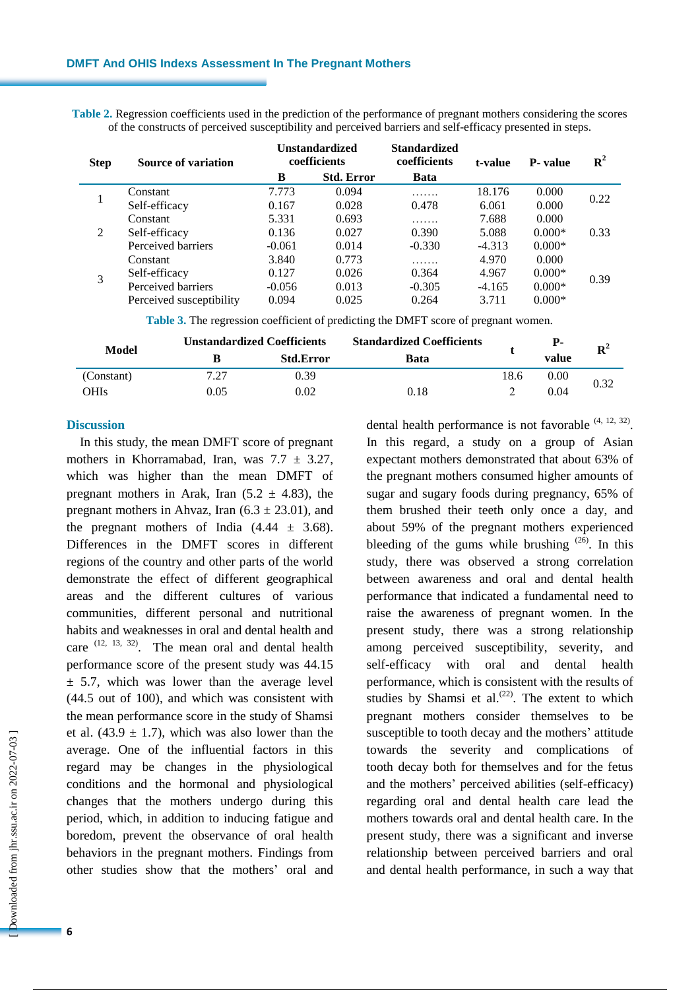**Table 2.** Regression coefficients used in the prediction of the performance of pregnant mothers considering the scores of the constructs of perceived susceptibility and perceived barriers and self-efficacy presented in steps.

| <b>Step</b> | Source of variation      | <b>Unstandardized</b><br>coefficients |                   | <b>Standardized</b><br>coefficients | t-value  | <b>P</b> -value | $\mathbf{R}^2$ |  |
|-------------|--------------------------|---------------------------------------|-------------------|-------------------------------------|----------|-----------------|----------------|--|
|             |                          | B                                     | <b>Std. Error</b> | <b>Bata</b>                         |          |                 |                |  |
|             | Constant                 | 7.773                                 | 0.094             | .                                   | 18.176   | 0.000           | 0.22           |  |
|             | Self-efficacy            | 0.167                                 | 0.028             | 0.478                               | 6.061    | 0.000           |                |  |
| 2           | Constant                 | 5.331                                 | 0.693             | .                                   | 7.688    | 0.000           |                |  |
|             | Self-efficacy            | 0.136                                 | 0.027             | 0.390                               | 5.088    | $0.000*$        | 0.33           |  |
|             | Perceived barriers       | $-0.061$                              | 0.014             | $-0.330$                            | $-4.313$ | $0.000*$        |                |  |
|             | Constant                 | 3.840                                 | 0.773             | .                                   | 4.970    | 0.000           | 0.39           |  |
|             | Self-efficacy            | 0.127                                 | 0.026             | 0.364                               | 4.967    | $0.000*$        |                |  |
|             | Perceived barriers       | $-0.056$                              | 0.013             | $-0.305$                            | $-4.165$ | $0.000*$        |                |  |
|             | Perceived susceptibility | 0.094                                 | 0.025             | 0.264                               | 3.711    | $0.000*$        |                |  |
|             |                          |                                       |                   |                                     |          |                 |                |  |

**Table 3.** The regression coefficient of predicting the DMFT score of pregnant women.

| Model       |      | <b>Unstandardized Coefficients</b> | <b>Standardized Coefficients</b> |      | Р-    | ${\bf R}^2$ |
|-------------|------|------------------------------------|----------------------------------|------|-------|-------------|
|             |      | <b>Std.Error</b>                   | Bata                             |      | value |             |
| (Constant)  | 7.27 | 0.39                               |                                  | 18.6 | 0.00  | 0.32        |
| <b>OHIs</b> | 0.05 | 0.02                               | 0.18                             |      | 0.04  |             |

#### **Discussion**

In this study, the mean DMFT score of pregnant mothers in Khorramabad, Iran, was  $7.7 \pm 3.27$ , which was higher than the mean DMFT of pregnant mothers in Arak, Iran  $(5.2 \pm 4.83)$ , the pregnant mothers in Ahvaz, Iran  $(6.3 \pm 23.01)$ , and the pregnant mothers of India  $(4.44 \pm 3.68)$ . Differences in the DMFT scores in different regions of the country and other parts of the world demonstrate the effect of different geographical areas and the different cultures of various communities, different personal and nutritional habits and weaknesses in oral and dental health and care  $(12, 13, 32)$ . The mean oral and dental health performance score of the present study was 44.15  $\pm$  5.7, which was lower than the average level (44.5 out of 100), and which was consistent with the mean performance score in the study of Shamsi et al.  $(43.9 \pm 1.7)$ , which was also lower than the average. One of the influential factors in this regard may be changes in the physiological conditions and the hormonal and physiological changes that the mothers undergo during this period, which, in addition to inducing fatigue and boredom, prevent the observance of oral health behaviors in the pregnant mothers. Findings from other studies show that the mothers' oral and

dental health performance is not favorable  $(4, 12, 32)$ . In this regard, a study on a group of Asian expectant mothers demonstrated that about 63% of the pregnant mothers consumed higher amounts of sugar and sugary foods during pregnancy, 65% of them brushed their teeth only once a day, and about 59% of the pregnant mothers experienced bleeding of the gums while brushing  $(26)$ . In this study, there was observed a strong correlation between awareness and oral and dental health performance that indicated a fundamental need to raise the awareness of pregnant women. In the present study, there was a strong relationship among perceived susceptibility, severity, and self-efficacy with oral and dental health performance, which is consistent with the results of studies by Shamsi et al. $(22)$ . The extent to which pregnant mothers consider themselves to be susceptible to tooth decay and the mothers' attitude towards the severity and complications of tooth decay both for themselves and for the fetus and the mothers' perceived abilities (self-efficacy) regarding oral and dental health care lead the mothers towards oral and dental health care. In the present study, there was a significant and inverse relationship between perceived barriers and oral and dental health performance, in such a way that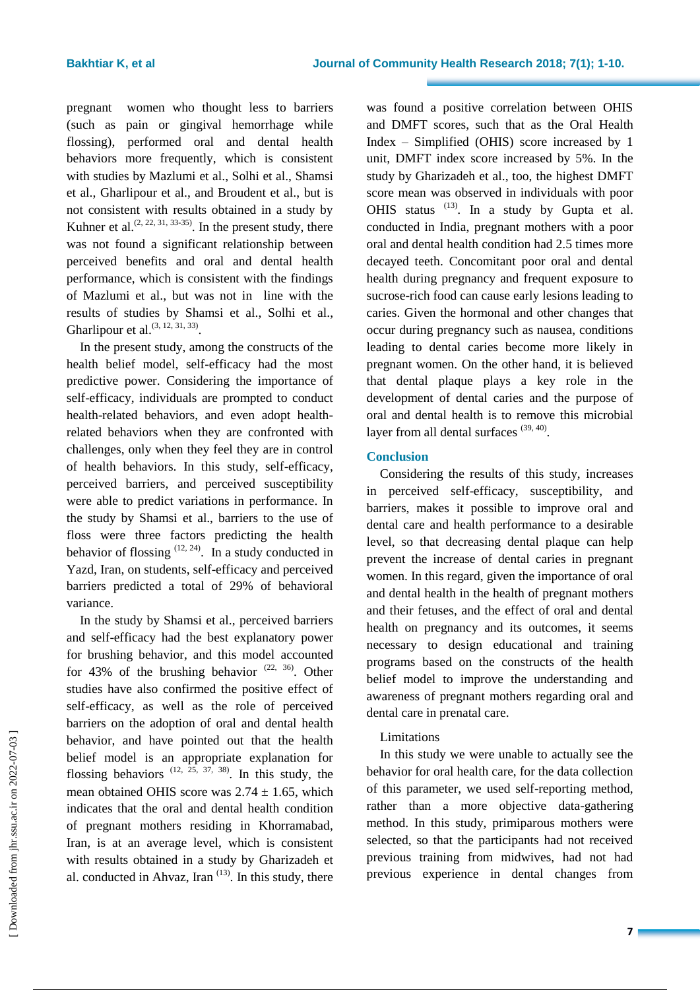pregnant women who thought less to barriers (such as pain or gingival hemorrhage while flossing), performed oral and dental health behaviors more frequently, which is consistent with studies by Mazlumi et al., Solhi et al., Shamsi et al., Gharlipour et al., and Broudent et al., but is not consistent with results obtained in a study by Kuhner et al.<sup> $(2, 22, 31, 33.35)$ </sup>. In the present study, there was not found a significant relationship between perceived benefits and oral and dental health performance, which is consistent with the findings of Mazlumi et al., but was not in line with the results of studies by Shamsi et al., Solhi et al., Gharlipour et al.  $(3, 12, 31, 33)$ .

In the present study, among the constructs of the health belief model, self-efficacy had the most predictive power. Considering the importance of self-efficacy, individuals are prompted to conduct health-related behaviors, and even adopt healthrelated behaviors when they are confronted with challenges, only when they feel they are in control of health behaviors. In this study, self-efficacy, perceived barriers, and perceived susceptibility were able to predict variations in performance. In the study by Shamsi et al., barriers to the use of floss were three factors predicting the health behavior of flossing  $(12, 24)$ . In a study conducted in Yazd, Iran, on students, self-efficacy and perceived barriers predicted a total of 29% of behavioral variance.

In the study by Shamsi et al., perceived barriers and self-efficacy had the best explanatory power for brushing behavior, and this model accounted for 43% of the brushing behavior  $(22, 36)$ . Other studies have also confirmed the positive effect of self-efficacy, as well as the role of perceived barriers on the adoption of oral and dental health behavior, and have pointed out that the health belief model is an appropriate explanation for flossing behaviors  $(12, 25, 37, 38)$ . In this study, the mean obtained OHIS score was  $2.74 \pm 1.65$ , which indicates that the oral and dental health condition of pregnant mothers residing in Khorramabad, Iran, is at an average level, which is consistent with results obtained in a study by Gharizadeh et al. conducted in Ahvaz, Iran  $(13)$ . In this study, there was found a positive correlation between OHIS and DMFT scores, such that as the Oral Health Index – Simplified (OHIS) score increased by 1 unit, DMFT index score increased by 5%. In the study by Gharizadeh et al., too, the highest DMFT score mean was observed in individuals with poor OHIS status  $(13)$ . In a study by Gupta et al. conducted in India, pregnant mothers with a poor oral and dental health condition had 2.5 times more decayed teeth. Concomitant poor oral and dental health during pregnancy and frequent exposure to sucrose-rich food can cause early lesions leading to caries. Given the hormonal and other changes that occur during pregnancy such as nausea, conditions leading to dental caries become more likely in pregnant women. On the other hand, it is believed that dental plaque plays a key role in the development of dental caries and the purpose of oral and dental health is to remove this microbial layer from all dental surfaces  $(39, 40)$ .

# **Conclusion**

Considering the results of this study, increases in perceived self-efficacy, susceptibility, and barriers, makes it possible to improve oral and dental care and health performance to a desirable level, so that decreasing dental plaque can help prevent the increase of dental caries in pregnant women. In this regard, given the importance of oral and dental health in the health of pregnant mothers and their fetuses, and the effect of oral and dental health on pregnancy and its outcomes, it seems necessary to design educational and training programs based on the constructs of the health belief model to improve the understanding and awareness of pregnant mothers regarding oral and dental care in prenatal care.

# Limitations

In this study we were unable to actually see the behavior for oral health care, for the data collection of this parameter, we used self-reporting method, rather than a more objective data-gathering method. In this study, primiparous mothers were selected, so that the participants had not received previous training from midwives, had not had previous experience in dental changes from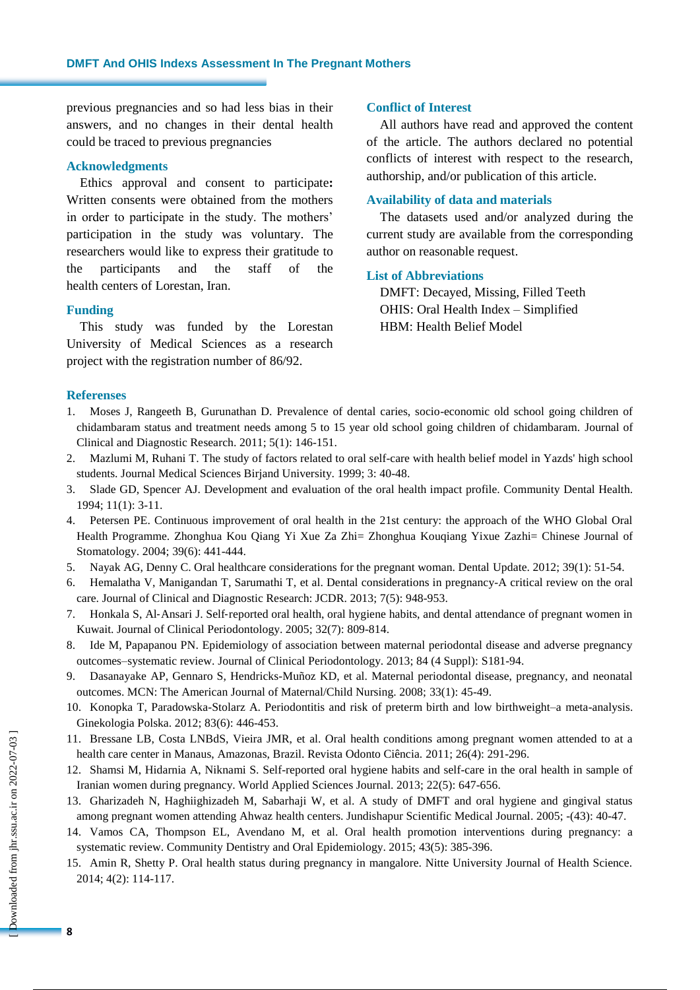previous pregnancies and so had less bias in their answers, and no changes in their dental health could be traced to previous pregnancies

# **Acknowledgments**

Ethics approval and consent to participate**:**  Written consents were obtained from the mothers in order to participate in the study. The mothers' participation in the study was voluntary. The researchers would like to express their gratitude to the participants and the staff of the health centers of Lorestan, Iran.

#### **Funding**

This study was funded by the Lorestan University of Medical Sciences as a research project with the registration number of 86/92.

#### **Conflict of Interest**

All authors have read and approved the content of the article. The authors declared no potential conflicts of interest with respect to the research, authorship, and/or publication of this article.

# **Availability of data and materials**

The datasets used and/or analyzed during the current study are available from the corresponding author on reasonable request.

# **List of Abbreviations**

DMFT: Decayed, Missing, Filled Teeth OHIS: Oral Health Index – Simplified HBM: Health Belief Model

### **Referenses**

- 1. Moses J, Rangeeth B, Gurunathan D. Prevalence of dental caries, socio-economic old school going children of chidambaram status and treatment needs among 5 to 15 year old school going children of chidambaram. Journal of Clinical and Diagnostic Research. 2011; 5(1): 146-151.
- 2. Mazlumi M, Ruhani T. The study of factors related to oral self-care with health belief model in Yazds' high school students. Journal Medical Sciences Birjand University. 1999; 3: 40-48.
- 3. Slade GD, Spencer AJ. Development and evaluation of the oral health impact profile. Community Dental Health. 1994; 11(1): 3-11.
- 4. Petersen PE. Continuous improvement of oral health in the 21st century: the approach of the WHO Global Oral Health Programme. Zhonghua Kou Qiang Yi Xue Za Zhi= Zhonghua Kouqiang Yixue Zazhi= Chinese Journal of Stomatology. 2004; 39(6): 441-444.
- 5. Nayak AG, Denny C. Oral healthcare considerations for the pregnant woman. Dental Update. 2012; 39(1): 51-54.
- 6. Hemalatha V, Manigandan T, Sarumathi T, et al. Dental considerations in pregnancy-A critical review on the oral care. Journal of Clinical and Diagnostic Research: JCDR. 2013; 7(5): 948-953.
- 7. Honkala S, Al‐Ansari J. Self‐reported oral health, oral hygiene habits, and dental attendance of pregnant women in Kuwait. Journal of Clinical Periodontology. 2005; 32(7): 809-814.
- 8. Ide M, Papapanou PN. Epidemiology of association between maternal periodontal disease and adverse pregnancy outcomes–systematic review. Journal of Clinical Periodontology. 2013; 84 (4 Suppl): S181-94.
- 9. Dasanayake AP, Gennaro S, Hendricks-Muñoz KD, et al. Maternal periodontal disease, pregnancy, and neonatal outcomes. MCN: The American Journal of Maternal/Child Nursing. 2008; 33(1): 45-49.
- 10. Konopka T, Paradowska-Stolarz A. Periodontitis and risk of preterm birth and low birthweight–a meta-analysis. Ginekologia Polska. 2012; 83(6): 446-453.
- 11. Bressane LB, Costa LNBdS, Vieira JMR, et al. Oral health conditions among pregnant women attended to at a health care center in Manaus, Amazonas, Brazil. Revista Odonto Ciência. 2011; 26(4): 291-296.
- 12. Shamsi M, Hidarnia A, Niknami S. Self-reported oral hygiene habits and self-care in the oral health in sample of Iranian women during pregnancy. World Applied Sciences Journal. 2013; 22(5): 647-656.
- 13. Gharizadeh N, Haghiighizadeh M, Sabarhaji W, et al. A study of DMFT and oral hygiene and gingival status among pregnant women attending Ahwaz health centers. Jundishapur Scientific Medical Journal. 2005; -(43): 40-47.
- 14. Vamos CA, Thompson EL, Avendano M, et al. Oral health promotion interventions during pregnancy: a systematic review. Community Dentistry and Oral Epidemiology. 2015; 43(5): 385-396.
- 15. Amin R, Shetty P. Oral health status during pregnancy in mangalore. Nitte University Journal of Health Science. 2014; 4(2): 114-117.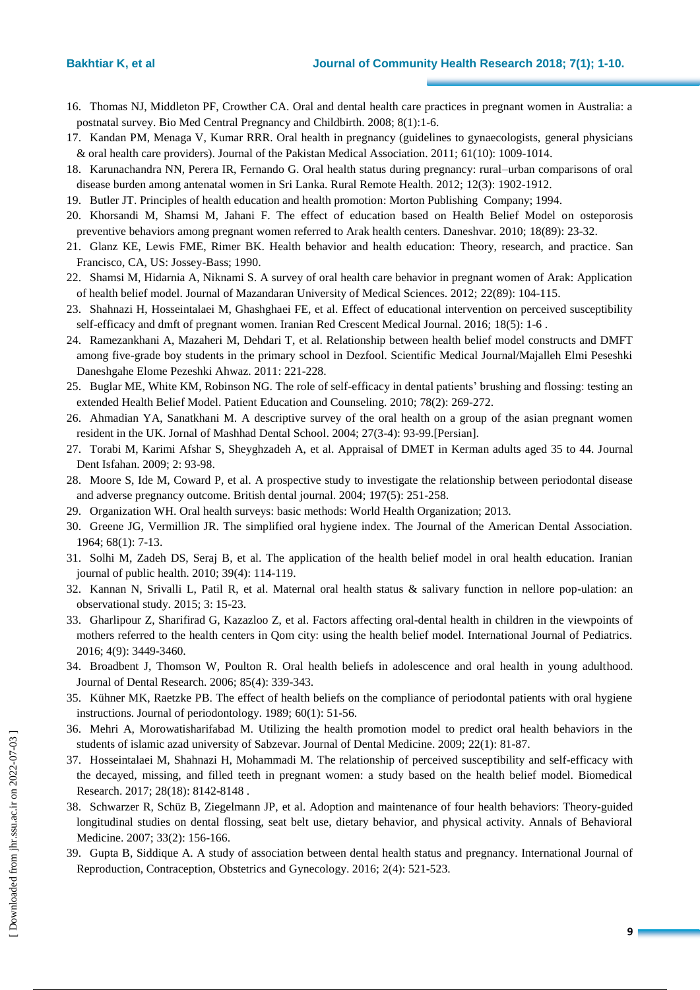- 16. Thomas NJ, Middleton PF, Crowther CA. Oral and dental health care practices in pregnant women in Australia: a postnatal survey. Bio Med Central Pregnancy and Childbirth. 2008; 8(1):1-6.
- 17. Kandan PM, Menaga V, Kumar RRR. Oral health in pregnancy (guidelines to gynaecologists, general physicians & oral health care providers). Journal of the Pakistan Medical Association. 2011; 61(10): 1009-1014.
- 18. Karunachandra NN, Perera IR, Fernando G. Oral health status during pregnancy: rural–urban comparisons of oral disease burden among antenatal women in Sri Lanka. Rural Remote Health. 2012; 12(3): 1902-1912.
- 19. Butler JT. Principles of health education and health promotion: Morton Publishing Company; 1994.
- 20. Khorsandi M, Shamsi M, Jahani F. The effect of education based on Health Belief Model on osteporosis preventive behaviors among pregnant women referred to Arak health centers. Daneshvar. 2010; 18(89): 23-32.
- 21. Glanz KE, Lewis FME, Rimer BK. Health behavior and health education: Theory, research, and practice. San Francisco, CA, US: Jossey-Bass; 1990.
- 22. Shamsi M, Hidarnia A, Niknami S. A survey of oral health care behavior in pregnant women of Arak: Application of health belief model. Journal of Mazandaran University of Medical Sciences. 2012; 22(89): 104-115.
- 23. Shahnazi H, Hosseintalaei M, Ghashghaei FE, et al. Effect of educational intervention on perceived susceptibility self-efficacy and dmft of pregnant women. Iranian Red Crescent Medical Journal. 2016; 18(5): 1-6 .
- 24. Ramezankhani A, Mazaheri M, Dehdari T, et al. Relationship between health belief model constructs and DMFT among five-grade boy students in the primary school in Dezfool. Scientific Medical Journal/Majalleh Elmi Peseshki Daneshgahe Elome Pezeshki Ahwaz. 2011: 221-228.
- 25. Buglar ME, White KM, Robinson NG. The role of self-efficacy in dental patients' brushing and flossing: testing an extended Health Belief Model. Patient Education and Counseling. 2010; 78(2): 269-272.
- 26. Ahmadian YA, Sanatkhani M. A descriptive survey of the oral health on a group of the asian pregnant women resident in the UK. Jornal of Mashhad Dental School. 2004; 27(3-4): 93-99.[Persian].
- 27. Torabi M, Karimi Afshar S, Sheyghzadeh A, et al. Appraisal of DMET in Kerman adults aged 35 to 44. Journal Dent Isfahan. 2009; 2: 93-98.
- 28. Moore S, Ide M, Coward P, et al. A prospective study to investigate the relationship between periodontal disease and adverse pregnancy outcome. British dental journal. 2004; 197(5): 251-258.
- 29. Organization WH. Oral health surveys: basic methods: World Health Organization; 2013.
- 30. Greene JG, Vermillion JR. The simplified oral hygiene index. The Journal of the American Dental Association. 1964; 68(1): 7-13.
- 31. Solhi M, Zadeh DS, Seraj B, et al. The application of the health belief model in oral health education. Iranian journal of public health. 2010; 39(4): 114-119.
- 32. Kannan N, Srivalli L, Patil R, et al. Maternal oral health status & salivary function in nellore pop-ulation: an observational study. 2015; 3: 15-23.
- 33. Gharlipour Z, Sharifirad G, Kazazloo Z, et al. Factors affecting oral-dental health in children in the viewpoints of mothers referred to the health centers in Qom city: using the health belief model. International Journal of Pediatrics. 2016; 4(9): 3449-3460.
- 34. Broadbent J, Thomson W, Poulton R. Oral health beliefs in adolescence and oral health in young adulthood. Journal of Dental Research. 2006; 85(4): 339-343.
- 35. Kühner MK, Raetzke PB. The effect of health beliefs on the compliance of periodontal patients with oral hygiene instructions. Journal of periodontology. 1989; 60(1): 51-56.
- 36. Mehri A, Morowatisharifabad M. Utilizing the health promotion model to predict oral health behaviors in the students of islamic azad university of Sabzevar. Journal of Dental Medicine. 2009; 22(1): 81-87.
- 37. Hosseintalaei M, Shahnazi H, Mohammadi M. The relationship of perceived susceptibility and self-efficacy with the decayed, missing, and filled teeth in pregnant women: a study based on the health belief model. Biomedical Research. 2017; 28(18): 8142-8148 .
- 38. Schwarzer R, Schüz B, Ziegelmann JP, et al. Adoption and maintenance of four health behaviors: Theory-guided longitudinal studies on dental flossing, seat belt use, dietary behavior, and physical activity. Annals of Behavioral Medicine. 2007; 33(2): 156-166.
- 39. Gupta B, Siddique A. A study of association between dental health status and pregnancy. International Journal of Reproduction, Contraception, Obstetrics and Gynecology. 2016; 2(4): 521-523.